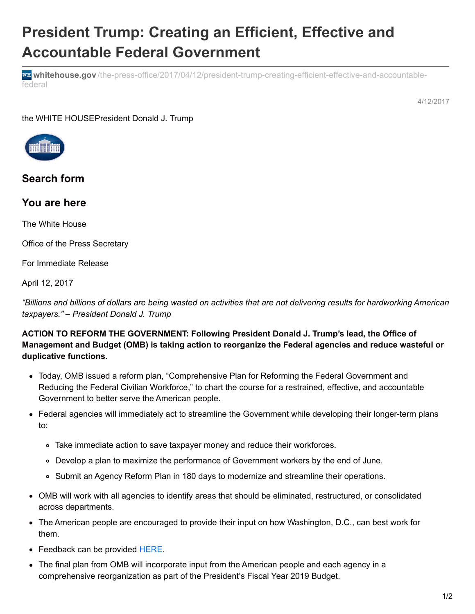# **President Trump: Creating an Efficient, Effective and Accountable Federal Government**

**whitehouse.gov** [/the-press-office/2017/04/12/president-trump-creating-efficient-effective-and-accountable](https://www.whitehouse.gov/the-press-office/2017/04/12/president-trump-creating-efficient-effective-and-accountable-federal)federal

4/12/2017

the WHITE HOUSEPresident Donald J. Trump



## **Search form**

## **You are here**

The White House

Office of the Press Secretary

For Immediate Release

April 12, 2017

"Billions and billions of dollars are being wasted on activities that are not delivering results for hardworking American *taxpayers." – President Donald J. Trump*

### **ACTION TO REFORM THE GOVERNMENT: Following President Donald J. Trump's lead, the Office of Management and Budget (OMB) is taking action to reorganize the Federal agencies and reduce wasteful or duplicative functions.**

- Today, OMB issued a reform plan, "Comprehensive Plan for Reforming the Federal Government and Reducing the Federal Civilian Workforce," to chart the course for a restrained, effective, and accountable Government to better serve the American people.
- Federal agencies will immediately act to streamline the Government while developing their longer-term plans to:
	- Take immediate action to save taxpayer money and reduce their workforces.
	- Develop a plan to maximize the performance of Government workers by the end of June.
	- o Submit an Agency Reform Plan in 180 days to modernize and streamline their operations.
- OMB will work with all agencies to identify areas that should be eliminated, restructured, or consolidated across departments.
- The American people are encouraged to provide their input on how Washington, D.C., can best work for them.
- Feedback can be provided [HERE](https://whitehouse.gov/reorganizing-the-executive-branch).
- The final plan from OMB will incorporate input from the American people and each agency in a comprehensive reorganization as part of the President's Fiscal Year 2019 Budget.